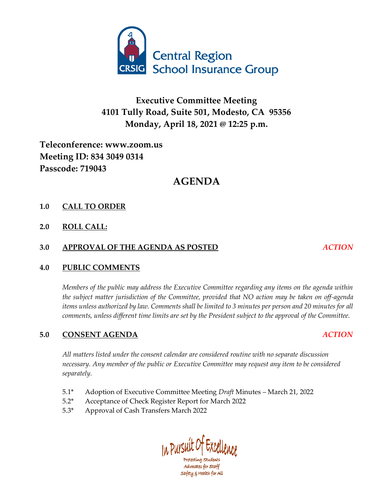

# **Executive Committee Meeting 4101 Tully Road, Suite 501, Modesto, CA 95356 Monday, April 18, 2021 @ 12:25 p.m.**

# **Teleconference: www.zoom.us Meeting ID: 834 3049 0314 Passcode: 719043**

# **AGENDA**

### **1.0 CALL TO ORDER**

**2.0 ROLL CALL:**

### **3.0 APPROVAL OF THE AGENDA AS POSTED** *ACTION*

#### **4.0 PUBLIC COMMENTS**

*Members of the public may address the Executive Committee regarding any items on the agenda within the subject matter jurisdiction of the Committee, provided that NO action may be taken on off-agenda items unless authorized by law. Comments shall be limited to 3 minutes per person and 20 minutes for all comments, unless different time limits are set by the President subject to the approval of the Committee.*

### **5.0 CONSENT AGENDA** *ACTION*

*All matters listed under the consent calendar are considered routine with no separate discussion necessary. Any member of the public or Executive Committee may request any item to be considered separately.*

- 5.1\* Adoption of Executive Committee Meeting *Draft* Minutes March 21, 2022
- 5.2\* Acceptance of Check Register Report for March 2022
- 5.3\* Approval of Cash Transfers March 2022

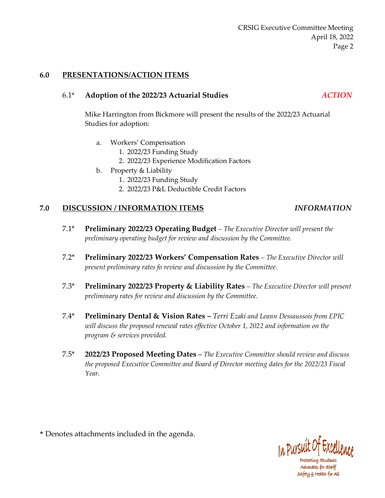#### **6.0 PRESENTATIONS/ACTION ITEMS**

#### 6.1\* **Adoption of the 2022/23 Actuarial Studies** *ACTION*

Mike Harrington from Bickmore will present the results of the 2022/23 Actuarial Studies for adoption:

- a. Workers' Compensation
	- 1. 2022/23 Funding Study
	- 2. 2022/23 Experience Modification Factors
- b. Property & Liability
	- 1. 2022/23 Funding Study
	- 2. 2022/23 P&L Deductible Credit Factors

#### **7.0 DISCUSSION / INFORMATION ITEMS** *INFORMATION*

- 7.1\* **Preliminary 2022/23 Operating Budget** *– The Executive Director will present the preliminary operating budget for review and discussion by the Committee.*
- 7.2\* **Preliminary 2022/23 Workers' Compensation Rates** *– The Executive Director will present preliminary rates fo review and discussion by the Committee.*
- 7.3\* **Preliminary 2022/23 Property & Liability Rates** *– The Executive Director will present preliminary rates for review and discussion by the Committee.*
- 7.4\* **Preliminary Dental & Vision Rates –** *Terri Ezaki and Leann Dessaussois from EPIC will discuss the proposed renewal rates effective October 1, 2022 and information on the program & services provided.*
- 7.5\* **2022/23 Proposed Meeting Dates** *– The Executive Committee should review and discuss the proposed Executive Committee and Board of Director meeting dates for the 2022/23 Fiscal Year.*

\* Denotes attachments included in the agenda.



Protecting Students Advocates for Staff safety & Health for All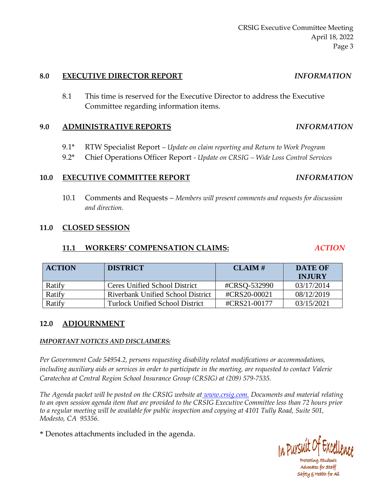#### **8.0 EXECUTIVE DIRECTOR REPORT** *INFORMATION*

8.1 This time is reserved for the Executive Director to address the Executive Committee regarding information items.

### **9.0 ADMINISTRATIVE REPORTS** *INFORMATION*

- 9.1\* RTW Specialist Report *Update on claim reporting and Return to Work Program*
- 9.2\* Chief Operations Officer Report *Update on CRSIG – Wide Loss Control Services*

## **10.0 EXECUTIVE COMMITTEE REPORT** *INFORMATION*

10.1 Comments and Requests – *Members will present comments and requests for discussion and direction.*

### **11.0 CLOSED SESSION**

## **11.1 WORKERS' COMPENSATION CLAIMS:** *ACTION*

| <b>ACTION</b> | <b>DISTRICT</b>                          | CLAM#        | <b>DATE OF</b><br><b>INJURY</b> |
|---------------|------------------------------------------|--------------|---------------------------------|
| Ratify        | Ceres Unified School District            | #CRSO-532990 | 03/17/2014                      |
| Ratify        | <b>Riverbank Unified School District</b> | #CRS20-00021 | 08/12/2019                      |
| Ratify        | Turlock Unified School District          | #CRS21-00177 | 03/15/2021                      |

## **12.0 ADJOURNMENT**

### *IMPORTANT NOTICES AND DISCLAIMERS:*

*Per Government Code 54954.2, persons requesting disability related modifications or accommodations, including auxiliary aids or services in order to participate in the meeting, are requested to contact Valerie Caratechea at Central Region School Insurance Group (CRSIG) at (209) 579-7535.*

*The Agenda packet will be posted on the CRSIG website at [www.crsig.c](http://www.crsig./)om. Documents and material relating to an open session agenda item that are provided to the CRSIG Executive Committee less than 72 hours prior to a regular meeting will be available for public inspection and copying at 4101 Tully Road, Suite 501, Modesto, CA 95356.*

\* Denotes attachments included in the agenda.



Protecting Students Advocates for staff safety & Health for All